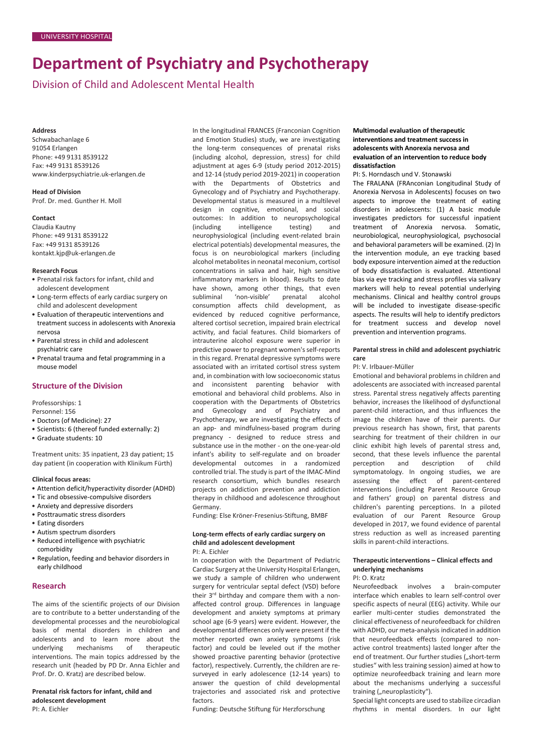# **Department of Psychiatry and Psychotherapy**

Division of Child and Adolescent Mental Health

#### **Address**

Schwabachanlage 6 91054 Erlangen Phone: +49 9131 8539122 Fax: +49 9131 8539126 [www.kinderpsychiatrie.uk-erlangen.de](http://www.kinderpsychiatrie.uk-erlangen.de/)

**Head of Division** Prof. Dr. med. Gunther H. Moll

#### **Contact**

Claudia Kautny Phone: +49 9131 8539122 Fax: +49 9131 8539126 [kontakt.kjp@uk-erlangen.de](mailto:kontakt.kjp@uk-erlangen.de)

#### **Research Focus**

- Prenatal risk factors for infant, child and adolescent development
- Long-term effects of early cardiac surgery on child and adolescent development
- Evaluation of therapeutic interventions and treatment success in adolescents with Anorexia nervosa
- Parental stress in child and adolescent psychiatric care
- Prenatal trauma and fetal programming in a mouse model

#### **Structure of the Division**

Professorships: 1

- Personnel: 156
- Doctors (of Medicine): 27
- Scientists: 6 (thereof funded externally: 2)
- Graduate students: 10

Treatment units: 35 inpatient, 23 day patient; 15 day patient (in cooperation with Klinikum Fürth)

#### **Clinical focus areas:**

- Attention deficit/hyperactivity disorder (ADHD)
- Tic and obsessive-compulsive disorders
- Anxiety and depressive disorders
- Posttraumatic stress disorders
- Eating disorders
- Autism spectrum disorders
- Reduced intelligence with psychiatric
- comorbidity
- Regulation, feeding and behavior disorders in early childhood

## **Research**

The aims of the scientific projects of our Division are to contribute to a better understanding of the developmental processes and the neurobiological basis of mental disorders in children and adolescents and to learn more about the underlying mechanisms of therapeutic interventions. The main topics addressed by the research unit (headed by PD Dr. Anna Eichler and Prof. Dr. O. Kratz) are described below.

**Prenatal risk factors for infant, child and adolescent development** PI: A. Eichler

In the longitudinal FRANCES (Franconian Cognition and Emotion Studies) study, we are investigating the long-term consequences of prenatal risks (including alcohol, depression, stress) for child adjustment at ages 6-9 (study period 2012-2015) and 12-14 (study period 2019-2021) in cooperation with the Departments of Obstetrics and Gynecology and of Psychiatry and Psychotherapy. Developmental status is measured in a multilevel design in cognitive, emotional, and social outcomes: In addition to neuropsychological (including intelligence testing) and neurophysiological (including event-related brain electrical potentials) developmental measures, the focus is on neurobiological markers (including alcohol metabolites in neonatal meconium, cortisol concentrations in saliva and hair, high sensitive inflammatory markers in blood). Results to date have shown, among other things, that even<br>subliminal 'non-visible' prenatal alcohol subliminal 'non-visible' prenatal alcohol consumption affects child development, as evidenced by reduced cognitive performance, altered cortisol secretion, impaired brain electrical activity, and facial features. Child biomarkers of intrauterine alcohol exposure were superior in predictive power to pregnant women's self-reports in this regard. Prenatal depressive symptoms were associated with an irritated cortisol stress system and, in combination with low socioeconomic status and inconsistent parenting behavior with emotional and behavioral child problems. Also in cooperation with the Departments of Obstetrics and Gynecology and of Psychiatry and Psychotherapy, we are investigating the effects of an app- and mindfulness-based program during pregnancy - designed to reduce stress and substance use in the mother - on the one-year-old infant's ability to self-regulate and on broader developmental outcomes in a randomized controlled trial. The study is part of the IMAC-Mind research consortium, which bundles research projects on addiction prevention and addiction therapy in childhood and adolescence throughout Germany.

Funding: Else Kröner-Fresenius-Stiftung, BMBF

# **Long-term effects of early cardiac surgery on child and adolescent development**

PI: A. Eichler

In cooperation with the Department of Pediatric Cardiac Surgery at the University Hospital Erlangen, we study a sample of children who underwent surgery for ventricular septal defect (VSD) before their 3rd birthday and compare them with a nonaffected control group. Differences in language development and anxiety symptoms at primary school age (6-9 years) were evident. However, the developmental differences only were present if the mother reported own anxiety symptoms (risk factor) and could be leveled out if the mother showed proactive parenting behavior (protective factor), respectively. Currently, the children are resurveyed in early adolescence (12-14 years) to answer the question of child developmental trajectories and associated risk and protective factors.

Funding: Deutsche Stiftung für Herzforschung

## **Multimodal evaluation of therapeutic interventions and treatment success in adolescents with Anorexia nervosa and evaluation of an intervention to reduce body dissatisfaction**

## PI: S. Horndasch und V. Stonawski

The FRALANA (FRAnconian Longitudinal Study of Anorexia Nervosa in Adolescents) focuses on two aspects to improve the treatment of eating disorders in adolescents: (1) A basic module investigates predictors for successful inpatient treatment of Anorexia nervosa. Somatic, neurobiological, neurophysiological, psychosocial and behavioral parameters will be examined. (2) In the intervention module, an eye tracking based body exposure intervention aimed at the reduction of body dissatisfaction is evaluated. Attentional bias via eye tracking and stress profiles via salivary markers will help to reveal potential underlying mechanisms. Clinical and healthy control groups will be included to investigate disease-specific aspects. The results will help to identify predictors for treatment success and develop novel prevention and intervention programs.

#### **Parental stress in child and adolescent psychiatric care**

#### PI: V. Irlbauer-Müller

Emotional and behavioral problems in children and adolescents are associated with increased parental stress. Parental stress negatively affects parenting behavior, increases the likelihood of dysfunctional parent-child interaction, and thus influences the image the children have of their parents. Our previous research has shown, first, that parents searching for treatment of their children in our clinic exhibit high levels of parental stress and, second, that these levels influence the parental perception and description of child symptomatology. In ongoing studies, we are assessing the effect of parent-centered interventions (including Parent Resource Group and fathers' group) on parental distress and children's parenting perceptions. In a piloted evaluation of our Parent Resource Group developed in 2017, we found evidence of parental stress reduction as well as increased parenting skills in parent-child interactions.

## **Therapeutic interventions – Clinical effects and underlying mechanisms**

PI: O. Kratz

Neurofeedback involves a brain-computer interface which enables to learn self-control over specific aspects of neural (EEG) activity. While our earlier multi-center studies demonstrated the clinical effectiveness of neurofeedback for children with ADHD, our meta-analysis indicated in addition that neurofeedback effects (compared to nonactive control treatments) lasted longer after the end of treatment. Our further studies ("short-term studies" with less training session) aimed at how to optimize neurofeedback training and learn more about the mechanisms underlying a successful training ("neuroplasticity").

Special light concepts are used to stabilize circadian rhythms in mental disorders. In our light